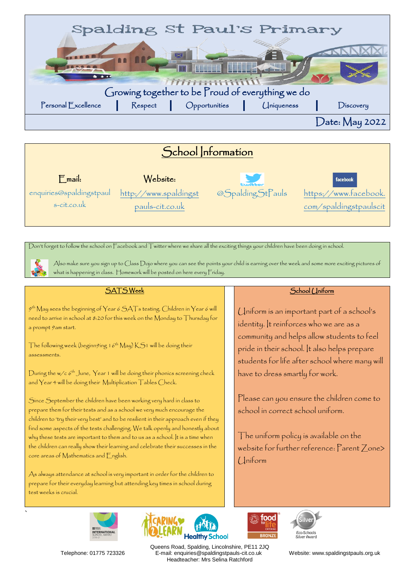

# School Information

Email: Website: enquiries@spaldingstpaul s-cit.co.uk

[http://www.spaldingst](http://www.spaldingstpauls-cit.co.uk/) [pauls-cit.co.uk](http://www.spaldingstpauls-cit.co.uk/) 

@SpaldingStPauls

facebook [https://www.facebook.](https://www.facebook.com/spaldingstpaulscit) [com/spaldingstpaulscit](https://www.facebook.com/spaldingstpaulscit)

Don't forget to follow the school on Facebook and Twitter where we share all the exciting things your children have been doing in school.

`

Also make sure you sign up to Class Dojo where you can see the points your child is earning over the week and some more exciting pictures of what is happening in class. Homework will be posted on here every Friday.

### SATS Week

 $9^{\rm th}$  May sees the beginning of Year 6 SATs testing. Children in Year 6 will need to arrive in school at 8:20 for this week on the Monday to Thursday for a prompt 9am start.

The following week (beginn9ing 16th May) KS1 will be doing their assessments.

During the w/c  $6^{\text{th}}$  June, Year 1 will be doing their phonics screening check and Year 4 will be doing their Multiplication Tables Check.

Since September the children have been working very hard in class to prepare them for their tests and as a school we very much encourage the children to 'try their very best' and to be resilient in their approach even if they find some aspects of the tests challenging. We talk openly and honestly about why these tests are important to them and to us as a school. It is a time when the children can really show their learning and celebrate their successes in the core areas of Mathematics and English.

As always attendance at school is very important in order for the children to prepare for their everyday learning but attending key times in school during test weeks is crucial.



food



School (*Jniform* 

Uniform is an important part of a school's identity. It reinforces who we are as a community and helps allow students to feel pride in their school. It also helps prepare students for life after school where many will have to dress smartly for work.

Please can you ensure the children come to school in correct school uniform.

The uniform policy is available on the website for further reference: Parent Zone> Uniform



Queens Road, Spalding, Lincolnshire, PE11 2JQ Telephone: 01775 723326 E-mail: enquiries@spaldingstpauls-cit.co.uk Website: www.spaldingstpauls.org.uk Headteacher: Mrs Selina Ratchford